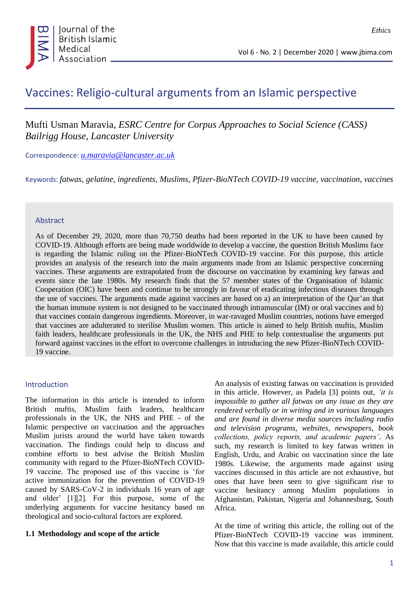

*Ethics*

# Vaccines: Religio*-*cultural arguments from an Islamic perspective

## Mufti Usman Maravia, *ESRC Centre for Corpus Approaches to Social Science (CASS) Bailrigg House, Lancaster University*

Correspondence: *[u.maravia@lancaster.ac.uk](mailto:u.maravia@lancaster.ac.uk)*

Keywords: *fatwas, gelatine, ingredients, Muslims, Pfizer-BioNTech COVID-19 vaccine, vaccination, vaccines*

#### Abstract

As of December 29, 2020, more than 70,750 deaths had been reported in the UK to have been caused by COVID-19. Although efforts are being made worldwide to develop a vaccine, the question British Muslims face is regarding the Islamic ruling on the Pfizer-BioNTech COVID-19 vaccine. For this purpose, this article provides an analysis of the research into the main arguments made from an Islamic perspective concerning vaccines. These arguments are extrapolated from the discourse on vaccination by examining key fatwas and events since the late 1980s. My research finds that the 57 member states of the Organisation of Islamic Cooperation (OIC) have been and continue to be strongly in favour of eradicating infectious diseases through the use of vaccines. The arguments made against vaccines are based on a) an interpretation of the Qur'an that the human immune system is not designed to be vaccinated through intramuscular (IM) or oral vaccines and b) that vaccines contain dangerous ingredients. Moreover, in war-ravaged Muslim countries, notions have emerged that vaccines are adulterated to sterilise Muslim women. This article is aimed to help British muftis, Muslim faith leaders, healthcare professionals in the UK, the NHS and PHE to help contextualise the arguments put forward against vaccines in the effort to overcome challenges in introducing the new Pfizer-BioNTech COVID-19 vaccine.

#### Introduction

The information in this article is intended to inform British muftis, Muslim faith leaders, healthcare professionals in the UK, the NHS and PHE - of the Islamic perspective on vaccination and the approaches Muslim jurists around the world have taken towards vaccination. The findings could help to discuss and combine efforts to best advise the British Muslim community with regard to the Pfizer-BioNTech COVID-19 vaccine. The proposed use of this vaccine is 'for active immunization for the prevention of COVID-19 caused by SARS-CoV-2 in individuals 16 years of age and older' [1][2]. For this purpose, some of the underlying arguments for vaccine hesitancy based on theological and socio-cultural factors are explored.

#### **1.1 Methodology and scope of the article**

An analysis of existing fatwas on vaccination is provided in this article. However, as Padela [3] points out, *'it is impossible to gather all fatwas on any issue as they are rendered verbally or in writing and in various languages and are found in diverse media sources including radio and television programs, websites, newspapers, book collections, policy reports, and academic papers'*. As such, my research is limited to key fatwas written in English, Urdu, and Arabic on vaccination since the late 1980s. Likewise, the arguments made against using vaccines discussed in this article are not exhaustive, but ones that have been seen to give significant rise to vaccine hesitancy among Muslim populations in Afghanistan, Pakistan, Nigeria and Johannesburg, South Africa.

At the time of writing this article, the rolling out of the Pfizer-BioNTech COVID-19 vaccine was imminent. Now that this vaccine is made available, this article could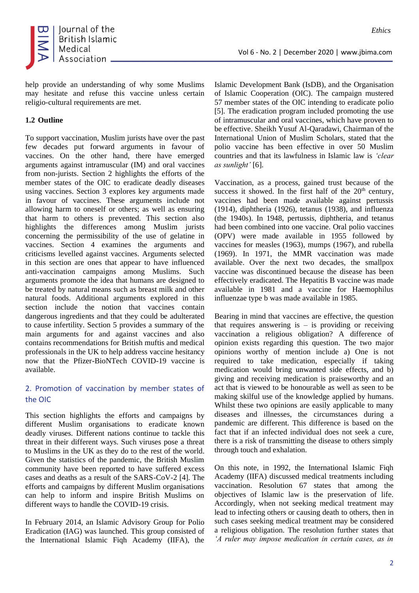

help provide an understanding of why some Muslims may hesitate and refuse this vaccine unless certain religio-cultural requirements are met.

#### **1.2 Outline**

To support vaccination, Muslim jurists have over the past few decades put forward arguments in favour of vaccines. On the other hand, there have emerged arguments against intramuscular (IM) and oral vaccines from non-jurists. Section 2 highlights the efforts of the member states of the OIC to eradicate deadly diseases using vaccines. Section 3 explores key arguments made in favour of vaccines. These arguments include not allowing harm to oneself or others; as well as ensuring that harm to others is prevented. This section also highlights the differences among Muslim jurists concerning the permissibility of the use of gelatine in vaccines. Section 4 examines the arguments and criticisms levelled against vaccines. Arguments selected in this section are ones that appear to have influenced anti-vaccination campaigns among Muslims. Such arguments promote the idea that humans are designed to be treated by natural means such as breast milk and other natural foods. Additional arguments explored in this section include the notion that vaccines contain dangerous ingredients and that they could be adulterated to cause infertility. Section 5 provides a summary of the main arguments for and against vaccines and also contains recommendations for British muftis and medical professionals in the UK to help address vaccine hesitancy now that the Pfizer-BioNTech COVID-19 vaccine is available.

## 2. Promotion of vaccination by member states of the OIC

This section highlights the efforts and campaigns by different Muslim organisations to eradicate known deadly viruses. Different nations continue to tackle this threat in their different ways. Such viruses pose a threat to Muslims in the UK as they do to the rest of the world. Given the statistics of the pandemic, the British Muslim community have been reported to have suffered excess cases and deaths as a result of the SARS-CoV-2 [4]. The efforts and campaigns by different Muslim organisations can help to inform and inspire British Muslims on different ways to handle the COVID-19 crisis.

In February 2014, an Islamic Advisory Group for Polio Eradication (IAG) was launched. This group consisted of the International Islamic Fiqh Academy (IIFA), the Islamic Development Bank (IsDB), and the Organisation of Islamic Cooperation (OIC). The campaign mustered 57 member states of the OIC intending to eradicate polio [5]. The eradication program included promoting the use of intramuscular and oral vaccines, which have proven to be effective. Sheikh Yusuf Al-Qaradawi, Chairman of the International Union of Muslim Scholars, stated that the polio vaccine has been effective in over 50 Muslim countries and that its lawfulness in Islamic law is *'clear as sunlight'* [6].

Vaccination, as a process, gained trust because of the success it showed. In the first half of the  $20<sup>th</sup>$  century, vaccines had been made available against pertussis (1914), diphtheria (1926), tetanus (1938), and influenza (the 1940s). In 1948, pertussis, diphtheria, and tetanus had been combined into one vaccine. Oral polio vaccines (OPV) were made available in 1955 followed by vaccines for measles (1963), mumps (1967), and rubella (1969). In 1971, the MMR vaccination was made available. Over the next two decades, the smallpox vaccine was discontinued because the disease has been effectively eradicated. The Hepatitis B vaccine was made available in 1981 and a vaccine for Haemophilus influenzae type b was made available in 1985.

Bearing in mind that vaccines are effective, the question that requires answering is  $-$  is providing or receiving vaccination a religious obligation? A difference of opinion exists regarding this question. The two major opinions worthy of mention include a) One is not required to take medication, especially if taking medication would bring unwanted side effects, and b) giving and receiving medication is praiseworthy and an act that is viewed to be honourable as well as seen to be making skilful use of the knowledge applied by humans. Whilst these two opinions are easily applicable to many diseases and illnesses, the circumstances during a pandemic are different. This difference is based on the fact that if an infected individual does not seek a cure, there is a risk of transmitting the disease to others simply through touch and exhalation.

On this note, in 1992, the International Islamic Fiqh Academy (IIFA) discussed medical treatments including vaccination. Resolution 67 states that among the objectives of Islamic law is the preservation of life. Accordingly, when not seeking medical treatment may lead to infecting others or causing death to others, then in such cases seeking medical treatment may be considered a religious obligation. The resolution further states that *'A ruler may impose medication in certain cases, as in*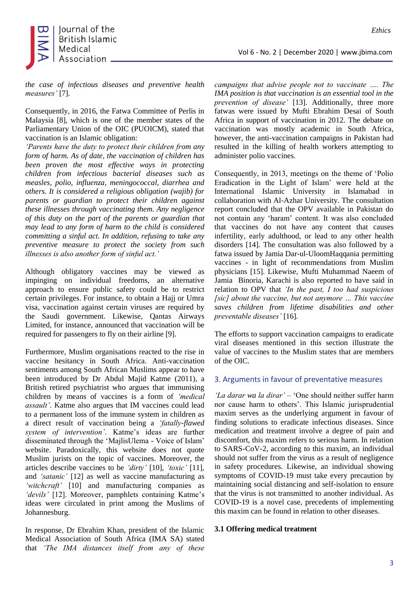

*the case of infectious diseases and preventive health measures'* [7].

Consequently, in 2016, the Fatwa Committee of Perlis in Malaysia [8], which is one of the member states of the Parliamentary Union of the OIC (PUOICM), stated that vaccination is an Islamic obligation:

*'Parents have the duty to protect their children from any form of harm. As of date, the vaccination of children has been proven the most effective ways in protecting children from infectious bacterial diseases such as measles, polio, influenza, meningococcal, diarrhea and others. It is considered a religious obligation (wajib) for parents or guardian to protect their children against these illnesses through vaccinating them. Any negligence of this duty on the part of the parents or guardian that may lead to any form of harm to the child is considered committing a sinful act. In addition, refusing to take any preventive measure to protect the society from such illnesses is also another form of sinful act.'*

Although obligatory vaccines may be viewed as impinging on individual freedoms, an alternative approach to ensure public safety could be to restrict certain privileges. For instance, to obtain a Hajj or Umra visa, vaccination against certain viruses are required by the Saudi government. Likewise, Qantas Airways Limited, for instance, announced that vaccination will be required for passengers to fly on their airline [9].

Furthermore, Muslim organisations reacted to the rise in vaccine hesitancy in South Africa. Anti-vaccination sentiments among South African Muslims appear to have been introduced by Dr Abdul Majid Katme (2011), a British retired psychiatrist who argues that immunising children by means of vaccines is a form of *'medical assault'*. Katme also argues that IM vaccines could lead to a permanent loss of the immune system in children as a direct result of vaccination being a *'fatally-flawed system of intervention'*. Katme's ideas are further disseminated through the 'MajlisUlema - Voice of Islam' website. Paradoxically, this website does not quote Muslim jurists on the topic of vaccines. Moreover, the articles describe vaccines to be *'dirty'* [10], *'toxic'* [11], and *'satanic'* [12] as well as vaccine manufacturing as *'witchcraft'* [10] and manufacturing companies as *'devils'* [12]. Moreover, pamphlets containing Katme's ideas were circulated in print among the Muslims of Johannesburg.

In response, Dr Ebrahim Khan, president of the Islamic Medical Association of South Africa (IMA SA) stated that *'The IMA distances itself from any of these* 

*campaigns that advise people not to vaccinate …. The IMA position is that vaccination is an essential tool in the prevention of disease'* [13]. Additionally, three more fatwas were issued by Mufti Ebrahim Desai of South Africa in support of vaccination in 2012. The debate on vaccination was mostly academic in South Africa, however, the anti-vaccination campaigns in Pakistan had resulted in the killing of health workers attempting to administer polio vaccines.

Consequently, in 2013, meetings on the theme of 'Polio Eradication in the Light of Islam' were held at the International Islamic University in Islamabad in collaboration with Al-Azhar University. The consultation report concluded that the OPV available in Pakistan do not contain any 'haram' content. It was also concluded that vaccines do not have any content that causes infertility, early adulthood, or lead to any other health disorders [14]. The consultation was also followed by a fatwa issued by Jamia Dar-ul-UloomHaqqania permitting vaccines - in light of recommendations from Muslim physicians [15]. Likewise, Mufti Muhammad Naeem of Jamia Binoria, Karachi is also reported to have said in relation to OPV that *'In the past, I too had suspicious [sic] about the vaccine, but not anymore … This vaccine saves children from lifetime disabilities and other preventable diseases'* [16].

The efforts to support vaccination campaigns to eradicate viral diseases mentioned in this section illustrate the value of vaccines to the Muslim states that are members of the OIC.

#### 3. Arguments in favour of preventative measures

*'La darar wa la dirar'* – 'One should neither suffer harm nor cause harm to others'. This Islamic jurisprudential maxim serves as the underlying argument in favour of finding solutions to eradicate infectious diseases. Since medication and treatment involve a degree of pain and discomfort, this maxim refers to serious harm. In relation to SARS-CoV-2, according to this maxim, an individual should not suffer from the virus as a result of negligence in safety procedures. Likewise, an individual showing symptoms of COVID-19 must take every precaution by maintaining social distancing and self-isolation to ensure that the virus is not transmitted to another individual. As COVID-19 is a novel case, precedents of implementing this maxim can be found in relation to other diseases.

#### **3.1 Offering medical treatment**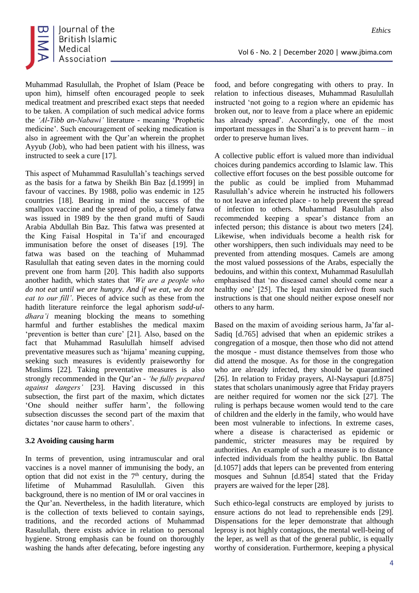

Muhammad Rasulullah, the Prophet of Islam (Peace be upon him), himself often encouraged people to seek medical treatment and prescribed exact steps that needed to be taken. A compilation of such medical advice forms the *'Al-Tibb an-Nabawi'* literature - meaning 'Prophetic medicine'. Such encouragement of seeking medication is also in agreement with the Qur'an wherein the prophet Ayyub (Job), who had been patient with his illness, was instructed to seek a cure [17].

This aspect of Muhammad Rasulullah's teachings served as the basis for a fatwa by Sheikh Bin Baz [d.1999] in favour of vaccines. By 1988, polio was endemic in 125 countries [18]. Bearing in mind the success of the smallpox vaccine and the spread of polio, a timely fatwa was issued in 1989 by the then grand mufti of Saudi Arabia Abdullah Bin Baz. This fatwa was presented at the King Faisal Hospital in Ta'if and encouraged immunisation before the onset of diseases [19]. The fatwa was based on the teaching of Muhammad Rasulullah that eating seven dates in the morning could prevent one from harm [20]. This hadith also supports another hadith, which states that *'We are a people who do not eat until we are hungry. And if we eat, we do not eat to our fill'*. Pieces of advice such as these from the hadith literature reinforce the legal aphorism *sadd-uldhara'i* meaning blocking the means to something harmful and further establishes the medical maxim 'prevention is better than cure' [21]. Also, based on the fact that Muhammad Rasulullah himself advised preventative measures such as 'hijama' meaning cupping, seeking such measures is evidently praiseworthy for Muslims [22]. Taking preventative measures is also strongly recommended in the Qur'an - *'be fully prepared against dangers'* [23]. Having discussed in this subsection, the first part of the maxim, which dictates 'One should neither suffer harm', the following subsection discusses the second part of the maxim that dictates 'nor cause harm to others'.

#### **3.2 Avoiding causing harm**

In terms of prevention, using intramuscular and oral vaccines is a novel manner of immunising the body, an option that did not exist in the  $7<sup>th</sup>$  century, during the lifetime of Muhammad Rasulullah. Given this background, there is no mention of IM or oral vaccines in the Qur'an. Nevertheless, in the hadith literature, which is the collection of texts believed to contain sayings, traditions, and the recorded actions of Muhammad Rasulullah, there exists advice in relation to personal hygiene. Strong emphasis can be found on thoroughly washing the hands after defecating, before ingesting any food, and before congregating with others to pray. In relation to infectious diseases, Muhammad Rasulullah instructed 'not going to a region where an epidemic has broken out, nor to leave from a place where an epidemic has already spread'. Accordingly, one of the most important messages in the Shari'a is to prevent harm – in order to preserve human lives.

Vol 6 - No. 2 | December 2020 | www.jbima.com

A collective public effort is valued more than individual choices during pandemics according to Islamic law. This collective effort focuses on the best possible outcome for the public as could be implied from Muhammad Rasulullah's advice wherein he instructed his followers to not leave an infected place - to help prevent the spread of infection to others. Muhammad Rasulullah also recommended keeping a spear's distance from an infected person; this distance is about two meters [24]. Likewise, when individuals become a health risk for other worshippers, then such individuals may need to be prevented from attending mosques. Camels are among the most valued possessions of the Arabs, especially the bedouins, and within this context, Muhammad Rasulullah emphasised that 'no diseased camel should come near a healthy one' [25]. The legal maxim derived from such instructions is that one should neither expose oneself nor others to any harm.

Based on the maxim of avoiding serious harm, Ja'far al-Sadiq [d.765] advised that when an epidemic strikes a congregation of a mosque, then those who did not attend the mosque - must distance themselves from those who did attend the mosque. As for those in the congregation who are already infected, they should be quarantined [26]. In relation to Friday prayers, Al-Naysapuri [d.875] states that scholars unanimously agree that Friday prayers are neither required for women nor the sick [27]. The ruling is perhaps because women would tend to the care of children and the elderly in the family, who would have been most vulnerable to infections. In extreme cases, where a disease is characterised as epidemic or pandemic, stricter measures may be required by authorities. An example of such a measure is to distance infected individuals from the healthy public. Ibn Battal [d.1057] adds that lepers can be prevented from entering mosques and Suhnun [d.854] stated that the Friday prayers are waived for the leper [28].

Such ethico-legal constructs are employed by jurists to ensure actions do not lead to reprehensible ends [29]. Dispensations for the leper demonstrate that although leprosy is not highly contagious, the mental well-being of the leper, as well as that of the general public, is equally worthy of consideration. Furthermore, keeping a physical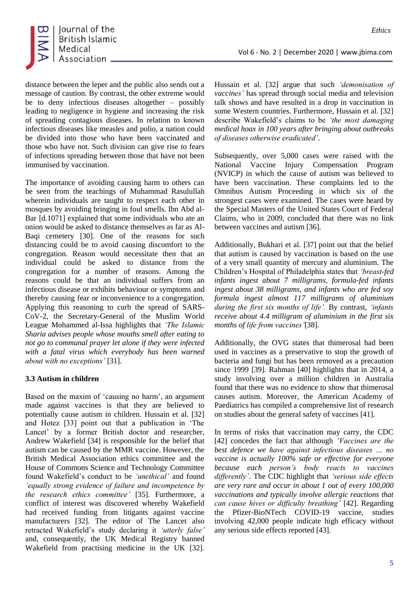

distance between the leper and the public also sends out a message of caution. By contrast, the other extreme would be to deny infectious diseases altogether – possibly leading to negligence in hygiene and increasing the risk of spreading contagious diseases. In relation to known infectious diseases like measles and polio, a nation could be divided into those who have been vaccinated and those who have not. Such division can give rise to fears of infections spreading between those that have not been immunised by vaccination.

The importance of avoiding causing harm to others can be seen from the teachings of Muhammad Rasulullah wherein individuals are taught to respect each other in mosques by avoiding bringing in foul smells. Ibn Abd al-Bar [d.1071] explained that some individuals who ate an onion would be asked to distance themselves as far as Al-Baqi cemetery [30]. One of the reasons for such distancing could be to avoid causing discomfort to the congregation. Reason would necessitate then that an individual could be asked to distance from the congregation for a number of reasons. Among the reasons could be that an individual suffers from an infectious disease or exhibits behaviour or symptoms and thereby causing fear or inconvenience to a congregation. Applying this reasoning to curb the spread of SARS-CoV-2, the Secretary-General of the Muslim World League Mohammed al-Issa highlights that *'The Islamic Sharia advises people whose mouths smell after eating to not go to communal prayer let alone if they were infected with a fatal virus which everybody has been warned about with no exceptions'* [31].

#### **3.3 Autism in children**

Based on the maxim of 'causing no harm', an argument made against vaccines is that they are believed to potentially cause autism in children. Hussain et al. [32] and Hotez [33] point out that a publication in 'The Lancet' by a former British doctor and researcher, Andrew Wakefield [34] is responsible for the belief that autism can be caused by the MMR vaccine. However, the British Medical Association ethics committee and the House of Commons Science and Technology Committee found Wakefield's conduct to be *'unethical'* and found *'equally strong evidence of failure and incompetence by the research ethics committee'* [35]. Furthermore, a conflict of interest was discovered whereby Wakefield had received funding from litigants against vaccine manufacturers [32]. The editor of The Lancet also retracted Wakefield's study declaring it *'utterly false'* and, consequently, the UK Medical Registry banned Wakefield from practising medicine in the UK [32]. Hussain et al. [32] argue that such *'demonisation of vaccines'* has spread through social media and television talk shows and have resulted in a drop in vaccination in some Western countries. Furthermore, Hussain et al. [32] describe Wakefield's claims to be *'the most damaging medical hoax in 100 years after bringing about outbreaks of diseases otherwise eradicated'*.

Subsequently, over 5,000 cases were raised with the National Vaccine Injury Compensation Program (NVICP) in which the cause of autism was believed to have been vaccination. These complaints led to the Omnibus Autism Proceeding in which six of the strongest cases were examined. The cases were heard by the Special Masters of the United States Court of Federal Claims, who in 2009, concluded that there was no link between vaccines and autism [36].

Additionally, Bukhari et al. [37] point out that the belief that autism is caused by vaccination is based on the use of a very small quantity of mercury and aluminium. The Children's Hospital of Philadelphia states that *'breast-fed infants ingest about 7 milligrams, formula-fed infants ingest about 38 milligrams, and infants who are fed soy formula ingest almost 117 milligrams of aluminium during the first six months of life'.* By contrast, *'infants receive about 4.4 milligram of aluminium in the first six months of life from vaccines'*[38].

Additionally, the OVG states that thimerosal had been used in vaccines as a preservative to stop the growth of bacteria and fungi but has been removed as a precaution since 1999 [39]. Rahman [40] highlights that in 2014, a study involving over a million children in Australia found that there was no evidence to show that thimerosal causes autism. Moreover, the American Academy of Paediatrics has compiled a comprehensive list of research on studies about the general safety of vaccines [41].

In terms of risks that vaccination may carry, the CDC [42] concedes the fact that although *'Vaccines are the best defence we have against infectious diseases … no vaccine is actually 100% safe or effective for everyone because each person's body reacts to vaccines differently'*. The CDC highlight that *'serious side effects are very rare and occur in about 1 out of every 100,000 vaccinations and typically involve allergic reactions that can cause hives or difficulty breathing'* [42]. Regarding the Pfizer-BioNTech COVID-19 vaccine, studies involving 42,000 people indicate high efficacy without any serious side effects reported [43].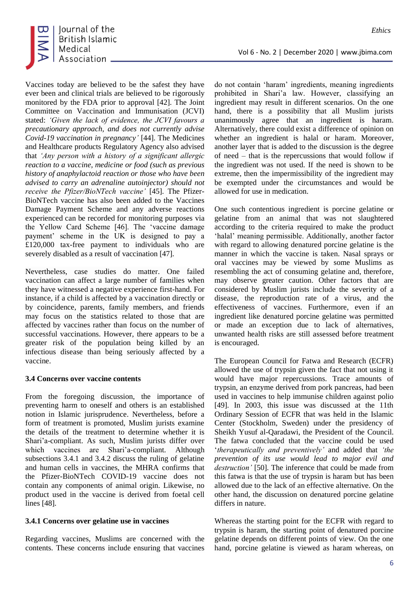

Vaccines today are believed to be the safest they have ever been and clinical trials are believed to be rigorously monitored by the FDA prior to approval [42]. The Joint Committee on Vaccination and Immunisation (JCVI) stated: *'Given the lack of evidence, the JCVI favours a precautionary approach, and does not currently advise Covid-19 vaccination in pregnancy'* [44]. The Medicines and Healthcare products Regulatory Agency also advised that *'Any person with a history of a significant allergic reaction to a vaccine, medicine or food (such as previous history of anaphylactoid reaction or those who have been advised to carry an adrenaline autoinjector) should not receive the Pfizer/BioNTech vaccine'* [45]. The Pfizer-BioNTech vaccine has also been added to the Vaccines Damage Payment Scheme and any adverse reactions experienced can be recorded for monitoring purposes via the Yellow Card Scheme [46]. The 'vaccine damage payment' scheme in the UK is designed to pay a £120,000 tax-free payment to individuals who are severely disabled as a result of vaccination [47].

Nevertheless, case studies do matter. One failed vaccination can affect a large number of families when they have witnessed a negative experience first-hand. For instance, if a child is affected by a vaccination directly or by coincidence, parents, family members, and friends may focus on the statistics related to those that are affected by vaccines rather than focus on the number of successful vaccinations. However, there appears to be a greater risk of the population being killed by an infectious disease than being seriously affected by a vaccine.

#### **3.4 Concerns over vaccine contents**

From the foregoing discussion, the importance of preventing harm to oneself and others is an established notion in Islamic jurisprudence. Nevertheless, before a form of treatment is promoted, Muslim jurists examine the details of the treatment to determine whether it is Shari'a-compliant. As such, Muslim jurists differ over which vaccines are Shari'a-compliant. Although subsections 3.4.1 and 3.4.2 discuss the ruling of gelatine and human cells in vaccines, the MHRA confirms that the Pfizer-BioNTech COVID-19 vaccine does not contain any components of animal origin. Likewise, no product used in the vaccine is derived from foetal cell lines [48].

## **3.4.1 Concerns over gelatine use in vaccines**

Regarding vaccines, Muslims are concerned with the contents. These concerns include ensuring that vaccines do not contain 'haram' ingredients, meaning ingredients

Vol 6 - No. 2 | December 2020 | www.jbima.com

prohibited in Shari'a law. However, classifying an ingredient may result in different scenarios. On the one hand, there is a possibility that all Muslim jurists unanimously agree that an ingredient is haram. Alternatively, there could exist a difference of opinion on whether an ingredient is halal or haram. Moreover, another layer that is added to the discussion is the degree of need – that is the repercussions that would follow if the ingredient was not used. If the need is shown to be extreme, then the impermissibility of the ingredient may be exempted under the circumstances and would be allowed for use in medication.

One such contentious ingredient is porcine gelatine or gelatine from an animal that was not slaughtered according to the criteria required to make the product 'halal' meaning permissible. Additionally, another factor with regard to allowing denatured porcine gelatine is the manner in which the vaccine is taken. Nasal sprays or oral vaccines may be viewed by some Muslims as resembling the act of consuming gelatine and, therefore, may observe greater caution. Other factors that are considered by Muslim jurists include the severity of a disease, the reproduction rate of a virus, and the effectiveness of vaccines. Furthermore, even if an ingredient like denatured porcine gelatine was permitted or made an exception due to lack of alternatives, unwanted health risks are still assessed before treatment is encouraged.

The European Council for Fatwa and Research (ECFR) allowed the use of trypsin given the fact that not using it would have major repercussions. Trace amounts of trypsin, an enzyme derived from pork pancreas, had been used in vaccines to help immunise children against polio [49]. In 2003, this issue was discussed at the 11th Ordinary Session of ECFR that was held in the Islamic Center (Stockholm, Sweden) under the presidency of Sheikh Yusuf al-Qaradawi, the President of the Council. The fatwa concluded that the vaccine could be used '*therapeutically and preventively'* and added that *'the prevention of its use would lead to major evil and destruction'* [50]. The inference that could be made from this fatwa is that the use of trypsin is haram but has been allowed due to the lack of an effective alternative. On the other hand, the discussion on denatured porcine gelatine differs in nature.

Whereas the starting point for the ECFR with regard to trypsin is haram, the starting point of denatured porcine gelatine depends on different points of view. On the one hand, porcine gelatine is viewed as haram whereas, on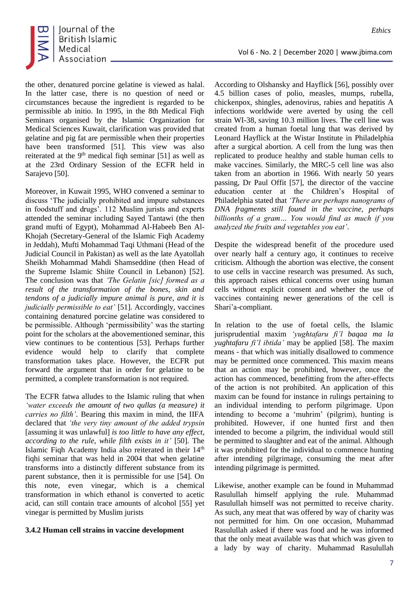

the other, denatured porcine gelatine is viewed as halal. In the latter case, there is no question of need or circumstances because the ingredient is regarded to be permissible ab initio. In 1995, in the 8th Medical Fiqh Seminars organised by the Islamic Organization for Medical Sciences Kuwait, clarification was provided that gelatine and pig fat are permissible when their properties have been transformed [51]. This view was also reiterated at the  $9<sup>th</sup>$  medical figh seminar [51] as well as at the 23rd Ordinary Session of the ECFR held in Sarajevo [50].

Moreover, in Kuwait 1995, WHO convened a seminar to discuss 'The judicially prohibited and impure substances in foodstuff and drugs'. 112 Muslim jurists and experts attended the seminar including Sayed Tantawi (the then grand mufti of Egypt), Mohammad Al-Habeeb Ben Al-Khojah (Secretary-General of the Islamic Fiqh Academy in Jeddah), Mufti Mohammad Taqi Uthmani (Head of the Judicial Council in Pakistan) as well as the late Ayatollah Sheikh Mohammad Mahdi Shamseddine (then Head of the Supreme Islamic Shiite Council in Lebanon) [52]. The conclusion was that *'The Gelatin [sic] formed as a result of the transformation of the bones, skin and tendons of a judicially impure animal is pure, and it is judicially permissible to eat'* [51]. Accordingly, vaccines containing denatured porcine gelatine was considered to be permissible. Although 'permissibility' was the starting point for the scholars at the abovementioned seminar, this view continues to be contentious [53]. Perhaps further evidence would help to clarify that complete transformation takes place. However, the ECFR put forward the argument that in order for gelatine to be permitted, a complete transformation is not required.

The ECFR fatwa alludes to the Islamic ruling that when *'water exceeds the amount of two qullas (a measure) it carries no filth'*. Bearing this maxim in mind, the IIFA declared that *'the very tiny amount of the added trypsin* [assuming it was unlawful] *is too little to have any effect, according to the rule, while filth exists in it'* [50]. The Islamic Figh Academy India also reiterated in their 14<sup>th</sup> fiqhi seminar that was held in 2004 that when gelatine transforms into a distinctly different substance from its parent substance, then it is permissible for use [54]. On this note, even vinegar, which is a chemical transformation in which ethanol is converted to acetic acid, can still contain trace amounts of alcohol [55] yet vinegar is permitted by Muslim jurists

#### **3.4.2 Human cell strains in vaccine development**

According to Olshansky and Hayflick [56], possibly over 4.5 billion cases of polio, measles, mumps, rubella, chickenpox, shingles, adenovirus, rabies and hepatitis A infections worldwide were averted by using the cell strain WI-38, saving 10.3 million lives. The cell line was created from a human foetal lung that was derived by Leonard Hayflick at the Wistar Institute in Philadelphia after a surgical abortion. A cell from the lung was then replicated to produce healthy and stable human cells to make vaccines. Similarly, the MRC-5 cell line was also taken from an abortion in 1966. With nearly 50 years passing, Dr Paul Offit [57], the director of the vaccine education center at the Children's Hospital of Philadelphia stated that *'There are perhaps nanograms of DNA fragments still found in the vaccine, perhaps billionths of a gram… You would find as much if you analyzed the fruits and vegetables you eat'*.

Vol 6 - No. 2 | December 2020 | www.jbima.com

Despite the widespread benefit of the procedure used over nearly half a century ago, it continues to receive criticism. Although the abortion was elective, the consent to use cells in vaccine research was presumed. As such, this approach raises ethical concerns over using human cells without explicit consent and whether the use of vaccines containing newer generations of the cell is Shari'a-compliant.

In relation to the use of foetal cells, the Islamic jurisprudential maxim *'yughtafaru fi'l baqaa ma la yughtafaru fi'l ibtida'* may be applied [58]. The maxim means - that which was initially disallowed to commence may be permitted once commenced. This maxim means that an action may be prohibited, however, once the action has commenced, benefitting from the after-effects of the action is not prohibited. An application of this maxim can be found for instance in rulings pertaining to an individual intending to perform pilgrimage. Upon intending to become a 'muhrim' (pilgrim), hunting is prohibited. However, if one hunted first and then intended to become a pilgrim, the individual would still be permitted to slaughter and eat of the animal. Although it was prohibited for the individual to commence hunting after intending pilgrimage, consuming the meat after intending pilgrimage is permitted.

Likewise, another example can be found in Muhammad Rasulullah himself applying the rule. Muhammad Rasulullah himself was not permitted to receive charity. As such, any meat that was offered by way of charity was not permitted for him. On one occasion, Muhammad Rasulullah asked if there was food and he was informed that the only meat available was that which was given to a lady by way of charity. Muhammad Rasulullah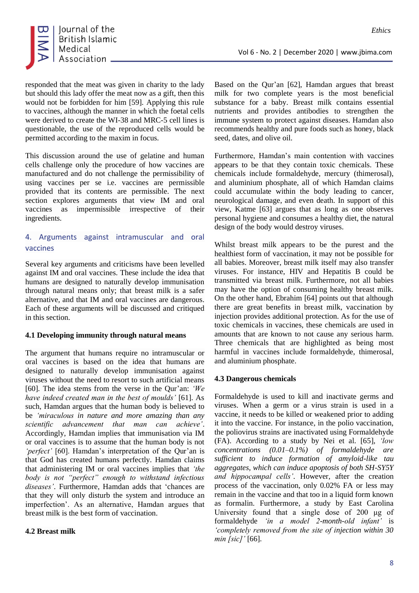

responded that the meat was given in charity to the lady but should this lady offer the meat now as a gift, then this would not be forbidden for him [59]. Applying this rule to vaccines, although the manner in which the foetal cells were derived to create the WI-38 and MRC-5 cell lines is questionable, the use of the reproduced cells would be permitted according to the maxim in focus.

This discussion around the use of gelatine and human cells challenge only the procedure of how vaccines are manufactured and do not challenge the permissibility of using vaccines per se i.e. vaccines are permissible provided that its contents are permissible. The next section explores arguments that view IM and oral vaccines as impermissible irrespective of their ingredients.

## 4. Arguments against intramuscular and oral vaccines

Several key arguments and criticisms have been levelled against IM and oral vaccines. These include the idea that humans are designed to naturally develop immunisation through natural means only; that breast milk is a safer alternative, and that IM and oral vaccines are dangerous. Each of these arguments will be discussed and critiqued in this section.

#### **4.1 Developing immunity through natural means**

The argument that humans require no intramuscular or oral vaccines is based on the idea that humans are designed to naturally develop immunisation against viruses without the need to resort to such artificial means [60]. The idea stems from the verse in the Qur'an: *'We have indeed created man in the best of moulds'* [61]. As such, Hamdan argues that the human body is believed to be *'miraculous in nature and more amazing than any scientific advancement that man can achieve'*. Accordingly, Hamdan implies that immunisation via IM or oral vaccines is to assume that the human body is not *'perfect'* [60]. Hamdan's interpretation of the Qur'an is that God has created humans perfectly. Hamdan claims that administering IM or oral vaccines implies that *'the body is not "perfect" enough to withstand infectious diseases'*. Furthermore, Hamdan adds that 'chances are that they will only disturb the system and introduce an imperfection'. As an alternative, Hamdan argues that breast milk is the best form of vaccination.

## **4.2 Breast milk**

Based on the Qur'an [62], Hamdan argues that breast milk for two complete years is the most beneficial substance for a baby. Breast milk contains essential nutrients and provides antibodies to strengthen the immune system to protect against diseases. Hamdan also recommends healthy and pure foods such as honey, black seed, dates, and olive oil.

Furthermore, Hamdan's main contention with vaccines appears to be that they contain toxic chemicals. These chemicals include formaldehyde, mercury (thimerosal), and aluminium phosphate, all of which Hamdan claims could accumulate within the body leading to cancer, neurological damage, and even death. In support of this view, Katme [63] argues that as long as one observes personal hygiene and consumes a healthy diet, the natural design of the body would destroy viruses.

Whilst breast milk appears to be the purest and the healthiest form of vaccination, it may not be possible for all babies. Moreover, breast milk itself may also transfer viruses. For instance, HIV and Hepatitis B could be transmitted via breast milk. Furthermore, not all babies may have the option of consuming healthy breast milk. On the other hand, Ebrahim [64] points out that although there are great benefits in breast milk, vaccination by injection provides additional protection. As for the use of toxic chemicals in vaccines, these chemicals are used in amounts that are known to not cause any serious harm. Three chemicals that are highlighted as being most harmful in vaccines include formaldehyde, thimerosal, and aluminium phosphate.

## **4.3 Dangerous chemicals**

Formaldehyde is used to kill and inactivate germs and viruses. When a germ or a virus strain is used in a vaccine, it needs to be killed or weakened prior to adding it into the vaccine. For instance, in the polio vaccination, the poliovirus strains are inactivated using Formaldehyde (FA). According to a study by Nei et al. [65], *'low concentrations (0.01–0.1%) of formaldehyde are sufficient to induce formation of amyloid-like tau aggregates, which can induce apoptosis of both SH-SY5Y and hippocampal cells'*. However, after the creation process of the vaccination, only 0.02% FA or less may remain in the vaccine and that too in a liquid form known as formalin. Furthermore, a study by East Carolina University found that a single dose of 200 μg of formaldehyde *'in a model 2-month-old infant'* is *'completely removed from the site of injection within 30 min [sic]'* [66].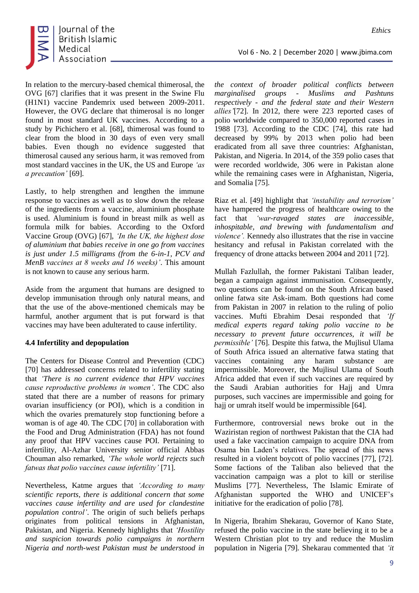

In relation to the mercury-based chemical thimerosal, the OVG [67] clarifies that it was present in the Swine Flu (H1N1) vaccine Pandemrix used between 2009-2011. However, the OVG declare that thimerosal is no longer found in most standard UK vaccines. According to a study by Pichichero et al. [68], thimerosal was found to clear from the blood in 30 days of even very small babies. Even though no evidence suggested that thimerosal caused any serious harm, it was removed from most standard vaccines in the UK, the US and Europe *'as a precaution'* [69].

Lastly, to help strengthen and lengthen the immune response to vaccines as well as to slow down the release of the ingredients from a vaccine, aluminium phosphate is used. Aluminium is found in breast milk as well as formula milk for babies. According to the Oxford Vaccine Group (OVG) [67], *'In the UK, the highest dose of aluminium that babies receive in one go from vaccines is just under 1.5 milligrams (from the 6-in-1, PCV and MenB vaccines at 8 weeks and 16 weeks)'*. This amount is not known to cause any serious harm.

Aside from the argument that humans are designed to develop immunisation through only natural means, and that the use of the above-mentioned chemicals may be harmful, another argument that is put forward is that vaccines may have been adulterated to cause infertility.

#### **4.4 Infertility and depopulation**

The Centers for Disease Control and Prevention (CDC) [70] has addressed concerns related to infertility stating that *'There is no current evidence that HPV vaccines cause reproductive problems in women'*. The CDC also stated that there are a number of reasons for primary ovarian insufficiency (or POI), which is a condition in which the ovaries prematurely stop functioning before a woman is of age 40. The CDC [70] in collaboration with the Food and Drug Administration (FDA) has not found any proof that HPV vaccines cause POI. Pertaining to infertility, Al-Azhar University senior official Abbas Chouman also remarked, *'The whole world rejects such fatwas that polio vaccines cause infertility'* [71].

Nevertheless, Katme argues that *'According to many scientific reports, there is additional concern that some vaccines cause infertility and are used for clandestine population control'*. The origin of such beliefs perhaps originates from political tensions in Afghanistan, Pakistan, and Nigeria. Kennedy highlights that *'Hostility and suspicion towards polio campaigns in northern Nigeria and north-west Pakistan must be understood in*  Vol 6 - No. 2 | December 2020 | www.jbima.com

*the context of broader political conflicts between marginalised groups - Muslims and Pashtuns respectively - and the federal state and their Western allies'*[72]. In 2012, there were 223 reported cases of polio worldwide compared to 350,000 reported cases in 1988 [73]. According to the CDC [74], this rate had decreased by 99% by 2013 when polio had been eradicated from all save three countries: Afghanistan, Pakistan, and Nigeria. In 2014, of the 359 polio cases that were recorded worldwide, 306 were in Pakistan alone while the remaining cases were in Afghanistan, Nigeria, and Somalia [75].

Riaz et al. [49] highlight that *'instability and terrorism'* have hampered the progress of healthcare owing to the fact that *'war-ravaged states are inaccessible, inhospitable, and brewing with fundamentalism and violence'.* Kennedy also illustrates that the rise in vaccine hesitancy and refusal in Pakistan correlated with the frequency of drone attacks between 2004 and 2011 [72].

Mullah Fazlullah, the former Pakistani Taliban leader, began a campaign against immunisation. Consequently, two questions can be found on the South African based online fatwa site Ask-imam. Both questions had come from Pakistan in 2007 in relation to the ruling of polio vaccines. Mufti Ebrahim Desai responded that *'If medical experts regard taking polio vaccine to be necessary to prevent future occurrences, it will be permissible'* [76]. Despite this fatwa, the Mujlisul Ulama of South Africa issued an alternative fatwa stating that vaccines containing any haram substance are impermissible. Moreover, the Mujlisul Ulama of South Africa added that even if such vaccines are required by the Saudi Arabian authorities for Hajj and Umra purposes, such vaccines are impermissible and going for hajj or umrah itself would be impermissible [64].

Furthermore, controversial news broke out in the Waziristan region of northwest Pakistan that the CIA had used a fake vaccination campaign to acquire DNA from Osama bin Laden's relatives. The spread of this news resulted in a violent boycott of polio vaccines [77], [72]. Some factions of the Taliban also believed that the vaccination campaign was a plot to kill or sterilise Muslims [77]. Nevertheless, The Islamic Emirate of Afghanistan supported the WHO and UNICEF's initiative for the eradication of polio [78].

In Nigeria, Ibrahim Shekarau, Governor of Kano State, refused the polio vaccine in the state believing it to be a Western Christian plot to try and reduce the Muslim population in Nigeria [79]. Shekarau commented that *'it*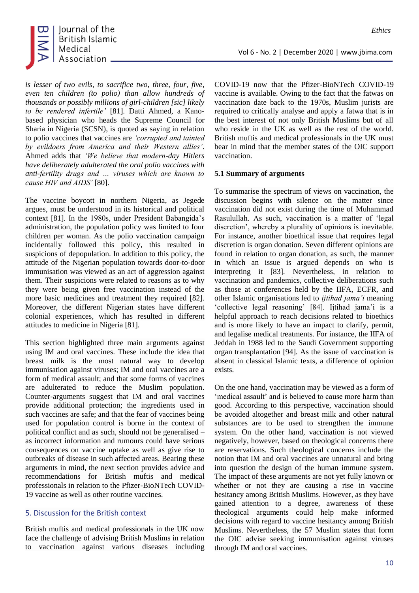

*is lesser of two evils, to sacrifice two, three, four, five, even ten children (to polio) than allow hundreds of thousands or possibly millions of girl-children [sic] likely to be rendered infertile'* [81]. Datti Ahmed, a Kanobased physician who heads the Supreme Council for Sharia in Nigeria (SCSN), is quoted as saying in relation to polio vaccines that vaccines are *'corrupted and tainted by evildoers from America and their Western allies'*. Ahmed adds that *'We believe that modern-day Hitlers have deliberately adulterated the oral polio vaccines with anti-fertility drugs and … viruses which are known to cause HIV and AIDS'* [80].

The vaccine boycott in northern Nigeria, as Jegede argues, must be understood in its historical and political context [81]. In the 1980s, under President Babangida's administration, the population policy was limited to four children per woman. As the polio vaccination campaign incidentally followed this policy, this resulted in suspicions of depopulation. In addition to this policy, the attitude of the Nigerian population towards door-to-door immunisation was viewed as an act of aggression against them. Their suspicions were related to reasons as to why they were being given free vaccination instead of the more basic medicines and treatment they required [82]. Moreover, the different Nigerian states have different colonial experiences, which has resulted in different attitudes to medicine in Nigeria [81].

This section highlighted three main arguments against using IM and oral vaccines. These include the idea that breast milk is the most natural way to develop immunisation against viruses; IM and oral vaccines are a form of medical assault; and that some forms of vaccines are adulterated to reduce the Muslim population. Counter-arguments suggest that IM and oral vaccines provide additional protection; the ingredients used in such vaccines are safe; and that the fear of vaccines being used for population control is borne in the context of political conflict and as such, should not be generalised – as incorrect information and rumours could have serious consequences on vaccine uptake as well as give rise to outbreaks of disease in such affected areas. Bearing these arguments in mind, the next section provides advice and recommendations for British muftis and medical professionals in relation to the Pfizer-BioNTech COVID-19 vaccine as well as other routine vaccines.

#### 5. Discussion for the British context

British muftis and medical professionals in the UK now face the challenge of advising British Muslims in relation to vaccination against various diseases including COVID-19 now that the Pfizer-BioNTech COVID-19 vaccine is available. Owing to the fact that the fatwas on vaccination date back to the 1970s, Muslim jurists are required to critically analyse and apply a fatwa that is in the best interest of not only British Muslims but of all who reside in the UK as well as the rest of the world. British muftis and medical professionals in the UK must bear in mind that the member states of the OIC support vaccination.

#### **5.1 Summary of arguments**

To summarise the spectrum of views on vaccination, the discussion begins with silence on the matter since vaccination did not exist during the time of Muhammad Rasulullah. As such, vaccination is a matter of 'legal discretion', whereby a plurality of opinions is inevitable. For instance, another bioethical issue that requires legal discretion is organ donation. Seven different opinions are found in relation to organ donation, as such, the manner in which an issue is argued depends on who is interpreting it [83]. Nevertheless, in relation to vaccination and pandemics, collective deliberations such as those at conferences held by the IIFA, ECFR, and other Islamic organisations led to *ijtihad jama'i* meaning 'collective legal reasoning' [84]. Ijtihad jama'i is a helpful approach to reach decisions related to bioethics and is more likely to have an impact to clarify, permit, and legalise medical treatments. For instance, the IIFA of Jeddah in 1988 led to the Saudi Government supporting organ transplantation [94]. As the issue of vaccination is absent in classical Islamic texts, a difference of opinion exists.

On the one hand, vaccination may be viewed as a form of 'medical assault' and is believed to cause more harm than good. According to this perspective, vaccination should be avoided altogether and breast milk and other natural substances are to be used to strengthen the immune system. On the other hand, vaccination is not viewed negatively, however, based on theological concerns there are reservations. Such theological concerns include the notion that IM and oral vaccines are unnatural and bring into question the design of the human immune system. The impact of these arguments are not yet fully known or whether or not they are causing a rise in vaccine hesitancy among British Muslims. However, as they have gained attention to a degree, awareness of these theological arguments could help make informed decisions with regard to vaccine hesitancy among British Muslims. Nevertheless, the 57 Muslim states that form the OIC advise seeking immunisation against viruses through IM and oral vaccines.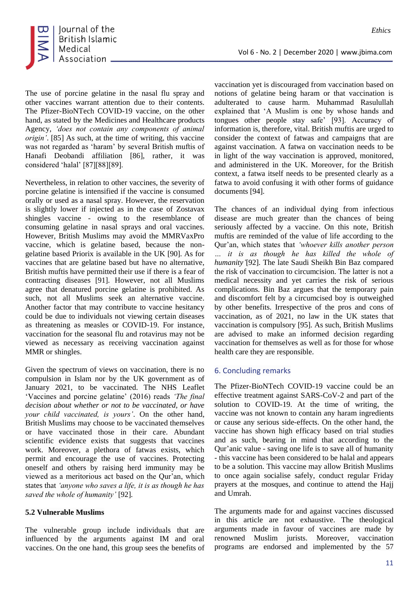

The use of porcine gelatine in the nasal flu spray and other vaccines warrant attention due to their contents. The Pfizer-BioNTech COVID-19 vaccine, on the other hand, as stated by the Medicines and Healthcare products Agency, *'does not contain any components of animal origin'*. [85] As such, at the time of writing, this vaccine was not regarded as 'haram' by several British muftis of Hanafi Deobandi affiliation [86], rather, it was considered 'halal' [87][88][89].

Nevertheless, in relation to other vaccines, the severity of porcine gelatine is intensified if the vaccine is consumed orally or used as a nasal spray. However, the reservation is slightly lower if injected as in the case of Zostavax shingles vaccine - owing to the resemblance of consuming gelatine in nasal sprays and oral vaccines. However, British Muslims may avoid the MMRVaxPro vaccine, which is gelatine based, because the nongelatine based Priorix is available in the UK [90]. As for vaccines that are gelatine based but have no alternative, British muftis have permitted their use if there is a fear of contracting diseases [91]. However, not all Muslims agree that denatured porcine gelatine is prohibited. As such, not all Muslims seek an alternative vaccine. Another factor that may contribute to vaccine hesitancy could be due to individuals not viewing certain diseases as threatening as measles or COVID-19. For instance, vaccination for the seasonal flu and rotavirus may not be viewed as necessary as receiving vaccination against MMR or shingles.

Given the spectrum of views on vaccination, there is no compulsion in Islam nor by the UK government as of January 2021, to be vaccinated. The NHS Leaflet 'Vaccines and porcine gelatine' (2016) reads *'The final decision about whether or not to be vaccinated, or have your child vaccinated, is yours'*. On the other hand, British Muslims may choose to be vaccinated themselves or have vaccinated those in their care. Abundant scientific evidence exists that suggests that vaccines work. Moreover, a plethora of fatwas exists, which permit and encourage the use of vaccines. Protecting oneself and others by raising herd immunity may be viewed as a meritorious act based on the Qur'an, which states that *'anyone who saves a life, it is as though he has saved the whole of humanity'* [92].

#### **5.2 Vulnerable Muslims**

The vulnerable group include individuals that are influenced by the arguments against IM and oral vaccines. On the one hand, this group sees the benefits of vaccination yet is discouraged from vaccination based on notions of gelatine being haram or that vaccination is adulterated to cause harm. Muhammad Rasulullah explained that 'A Muslim is one by whose hands and tongues other people stay safe' [93]. Accuracy of information is, therefore, vital. British muftis are urged to consider the context of fatwas and campaigns that are against vaccination. A fatwa on vaccination needs to be in light of the way vaccination is approved, monitored, and administered in the UK. Moreover, for the British context, a fatwa itself needs to be presented clearly as a fatwa to avoid confusing it with other forms of guidance documents [94].

Vol 6 - No. 2 | December 2020 | www.jbima.com

The chances of an individual dying from infectious disease are much greater than the chances of being seriously affected by a vaccine. On this note, British muftis are reminded of the value of life according to the Qur'an, which states that *'whoever kills another person … it is as though he has killed the whole of humanity'*[92]. The late Saudi Sheikh Bin Baz compared the risk of vaccination to circumcision. The latter is not a medical necessity and yet carries the risk of serious complications. Bin Baz argues that the temporary pain and discomfort felt by a circumcised boy is outweighed by other benefits. Irrespective of the pros and cons of vaccination, as of 2021, no law in the UK states that vaccination is compulsory [95]. As such, British Muslims are advised to make an informed decision regarding vaccination for themselves as well as for those for whose health care they are responsible.

## 6. Concluding remarks

The Pfizer-BioNTech COVID-19 vaccine could be an effective treatment against SARS-CoV-2 and part of the solution to COVID-19. At the time of writing, the vaccine was not known to contain any haram ingredients or cause any serious side-effects. On the other hand, the vaccine has shown high efficacy based on trial studies and as such, bearing in mind that according to the Qur'anic value - saving one life is to save all of humanity - this vaccine has been considered to be halal and appears to be a solution. This vaccine may allow British Muslims to once again socialise safely, conduct regular Friday prayers at the mosques, and continue to attend the Hajj and Umrah.

The arguments made for and against vaccines discussed in this article are not exhaustive. The theological arguments made in favour of vaccines are made by renowned Muslim jurists. Moreover, vaccination programs are endorsed and implemented by the 57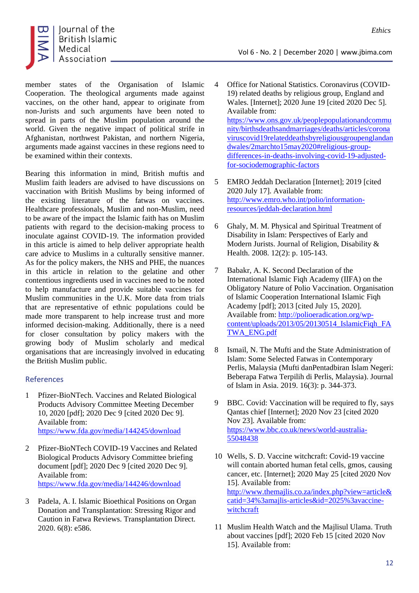

member states of the Organisation of Islamic Cooperation. The theological arguments made against vaccines, on the other hand, appear to originate from non-Jurists and such arguments have been noted to spread in parts of the Muslim population around the world. Given the negative impact of political strife in Afghanistan, northwest Pakistan, and northern Nigeria, arguments made against vaccines in these regions need to be examined within their contexts.

Bearing this information in mind, British muftis and Muslim faith leaders are advised to have discussions on vaccination with British Muslims by being informed of the existing literature of the fatwas on vaccines. Healthcare professionals, Muslim and non-Muslim, need to be aware of the impact the Islamic faith has on Muslim patients with regard to the decision-making process to inoculate against COVID-19. The information provided in this article is aimed to help deliver appropriate health care advice to Muslims in a culturally sensitive manner. As for the policy makers, the NHS and PHE, the nuances in this article in relation to the gelatine and other contentious ingredients used in vaccines need to be noted to help manufacture and provide suitable vaccines for Muslim communities in the U.K. More data from trials that are representative of ethnic populations could be made more transparent to help increase trust and more informed decision-making. Additionally, there is a need for closer consultation by policy makers with the growing body of Muslim scholarly and medical organisations that are increasingly involved in educating the British Muslim public.

#### References

- 1 Pfizer-BioNTech. Vaccines and Related Biological Products Advisory Committee Meeting December 10, 2020 [pdf]; 2020 Dec 9 [cited 2020 Dec 9]. Available from: <https://www.fda.gov/media/144245/download>
- 2 Pfizer-BioNTech COVID-19 Vaccines and Related Biological Products Advisory Committee briefing document [pdf]; 2020 Dec 9 [cited 2020 Dec 9]. Available from: <https://www.fda.gov/media/144246/download>
- 3 Padela, A. I. Islamic Bioethical Positions on Organ Donation and Transplantation: Stressing Rigor and Caution in Fatwa Reviews. Transplantation Direct. 2020. 6(8): e586.

4 Office for National Statistics. Coronavirus (COVID-19) related deaths by religious group, England and Wales. [Internet]; 2020 June 19 [cited 2020 Dec 5]. Available from: [https://www.ons.gov.uk/peoplepopulationandcommu](https://www.ons.gov.uk/peoplepopulationandcommunity/birthsdeathsandmarriages/deaths/articles/coronaviruscovid19relateddeathsbyreligiousgroupenglandandwales/2marchto15may2020#religious-group-differences-in-deaths-involving-covid-19-adjusted-for-sociodemographic-factors) [nity/birthsdeathsandmarriages/deaths/articles/corona](https://www.ons.gov.uk/peoplepopulationandcommunity/birthsdeathsandmarriages/deaths/articles/coronaviruscovid19relateddeathsbyreligiousgroupenglandandwales/2marchto15may2020#religious-group-differences-in-deaths-involving-covid-19-adjusted-for-sociodemographic-factors) [viruscovid19relateddeathsbyreligiousgroupenglandan](https://www.ons.gov.uk/peoplepopulationandcommunity/birthsdeathsandmarriages/deaths/articles/coronaviruscovid19relateddeathsbyreligiousgroupenglandandwales/2marchto15may2020#religious-group-differences-in-deaths-involving-covid-19-adjusted-for-sociodemographic-factors) [dwales/2marchto15may2020#religious-group](https://www.ons.gov.uk/peoplepopulationandcommunity/birthsdeathsandmarriages/deaths/articles/coronaviruscovid19relateddeathsbyreligiousgroupenglandandwales/2marchto15may2020#religious-group-differences-in-deaths-involving-covid-19-adjusted-for-sociodemographic-factors)[differences-in-deaths-involving-covid-19-adjusted](https://www.ons.gov.uk/peoplepopulationandcommunity/birthsdeathsandmarriages/deaths/articles/coronaviruscovid19relateddeathsbyreligiousgroupenglandandwales/2marchto15may2020#religious-group-differences-in-deaths-involving-covid-19-adjusted-for-sociodemographic-factors)[for-sociodemographic-factors](https://www.ons.gov.uk/peoplepopulationandcommunity/birthsdeathsandmarriages/deaths/articles/coronaviruscovid19relateddeathsbyreligiousgroupenglandandwales/2marchto15may2020#religious-group-differences-in-deaths-involving-covid-19-adjusted-for-sociodemographic-factors)

Vol 6 - No. 2 | December 2020 | www.jbima.com

- 5 EMRO Jeddah Declaration [Internet]; 2019 [cited 2020 July 17]. Available from: [http://www.emro.who.int/polio/information](http://www.emro.who.int/polio/information-resources/jeddah-declaration.html)[resources/jeddah-declaration.html](http://www.emro.who.int/polio/information-resources/jeddah-declaration.html)
- 6 Ghaly, M. M. Physical and Spiritual Treatment of Disability in Islam: Perspectives of Early and Modern Jurists. Journal of Religion, Disability & Health. 2008. 12(2): p. 105-143.
- 7 Babakr, A. K. Second Declaration of the International Islamic Fiqh Academy (IIFA) on the Obligatory Nature of Polio Vaccination. Organisation of Islamic Cooperation International Islamic Fiqh Academy [pdf]; 2013 [cited July 15, 2020]. Available from: [http://polioeradication.org/wp](http://polioeradication.org/wp-content/uploads/2013/05/20130514_IslamicFiqh_FATWA_ENG.pdf)[content/uploads/2013/05/20130514\\_IslamicFiqh\\_FA](http://polioeradication.org/wp-content/uploads/2013/05/20130514_IslamicFiqh_FATWA_ENG.pdf) [TWA\\_ENG.pdf](http://polioeradication.org/wp-content/uploads/2013/05/20130514_IslamicFiqh_FATWA_ENG.pdf)
- 8 Ismail, N. The Mufti and the State Administration of Islam: Some Selected Fatwas in Contemporary Perlis, Malaysia (Mufti danPentadbiran Islam Negeri: Beberapa Fatwa Terpilih di Perlis, Malaysia). Journal of Islam in Asia. 2019. 16(3): p. 344-373.
- 9 BBC. Covid: Vaccination will be required to fly, says Qantas chief [Internet]; 2020 Nov 23 [cited 2020 Nov 23]. Available from: [https://www.bbc.co.uk/news/world-australia-](https://www.bbc.co.uk/news/world-australia-55048438)[55048438](https://www.bbc.co.uk/news/world-australia-55048438)
- 10 Wells, S. D. Vaccine witchcraft: Covid-19 vaccine will contain aborted human fetal cells, gmos, causing cancer, etc. [Internet]; 2020 May 25 [cited 2020 Nov 15]. Available from: [http://www.themajlis.co.za/index.php?view=article&](http://www.themajlis.co.za/index.php?view=article&catid=34%3amajlis-articles&id=2025%3avaccine-witchcraft) [catid=34%3amajlis-articles&id=2025%3avaccine](http://www.themajlis.co.za/index.php?view=article&catid=34%3amajlis-articles&id=2025%3avaccine-witchcraft)[witchcraft](http://www.themajlis.co.za/index.php?view=article&catid=34%3amajlis-articles&id=2025%3avaccine-witchcraft)
- 11 Muslim Health Watch and the Majlisul Ulama. Truth about vaccines [pdf]; 2020 Feb 15 [cited 2020 Nov 15]. Available from: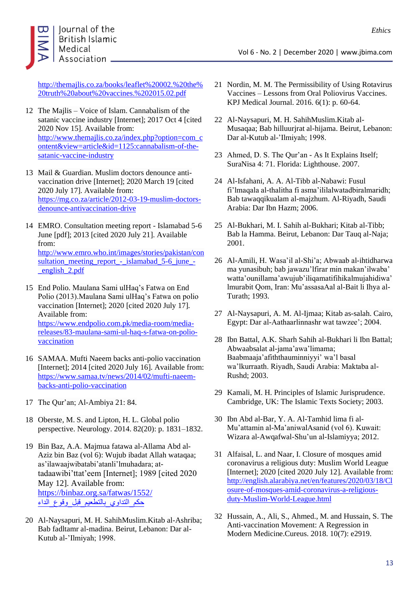

[http://themajlis.co.za/books/leaflet%20002.%20the%](http://themajlis.co.za/books/leaflet%20002.%20the%20truth%20about%20vaccines.%202015.02.pdf) [20truth%20about%20vaccines.%202015.02.pdf](http://themajlis.co.za/books/leaflet%20002.%20the%20truth%20about%20vaccines.%202015.02.pdf)

- 12 The Majlis Voice of Islam. Cannabalism of the satanic vaccine industry [Internet]; 2017 Oct 4 [cited 2020 Nov 15]. Available from: [http://www.themajlis.co.za/index.php?option=com\\_c](http://www.themajlis.co.za/index.php?option=com_content&view=article&id=1125:cannabalism-of-the-satanic-vaccine-industry) [ontent&view=article&id=1125:cannabalism-of-the](http://www.themajlis.co.za/index.php?option=com_content&view=article&id=1125:cannabalism-of-the-satanic-vaccine-industry)[satanic-vaccine-industry](http://www.themajlis.co.za/index.php?option=com_content&view=article&id=1125:cannabalism-of-the-satanic-vaccine-industry)
- 13 Mail & Guardian. Muslim doctors denounce antivaccination drive [Internet]; 2020 March 19 [cited 2020 July 17]. Available from: [https://mg.co.za/article/2012-03-19-muslim-doctors](https://mg.co.za/article/2012-03-19-muslim-doctors-denounce-antivaccination-drive)[denounce-antivaccination-drive](https://mg.co.za/article/2012-03-19-muslim-doctors-denounce-antivaccination-drive)
- 14 EMRO. Consultation meeting report Islamabad 5-6 June [pdf]; 2013 [cited 2020 July 21]. Available from: [http://www.emro.who.int/images/stories/pakistan/con](http://www.emro.who.int/images/stories/pakistan/consultation_meeting_report_-_islamabad_5-6_june_-_english_2.pdf) [sultation\\_meeting\\_report\\_-\\_islamabad\\_5-6\\_june\\_-](http://www.emro.who.int/images/stories/pakistan/consultation_meeting_report_-_islamabad_5-6_june_-_english_2.pdf) [\\_english\\_2.pdf](http://www.emro.who.int/images/stories/pakistan/consultation_meeting_report_-_islamabad_5-6_june_-_english_2.pdf)
- 15 End Polio. Maulana Sami ulHaq's Fatwa on End Polio (2013).Maulana Sami ulHaq's Fatwa on polio vaccination [Internet]; 2020 [cited 2020 July 17]. Available from: [https://www.endpolio.com.pk/media-room/media](https://www.endpolio.com.pk/media-room/media-releases/83-maulana-sami-ul-haq-s-fatwa-on-polio-vaccination)[releases/83-maulana-sami-ul-haq-s-fatwa-on-polio](https://www.endpolio.com.pk/media-room/media-releases/83-maulana-sami-ul-haq-s-fatwa-on-polio-vaccination)[vaccination](https://www.endpolio.com.pk/media-room/media-releases/83-maulana-sami-ul-haq-s-fatwa-on-polio-vaccination)
- 16 SAMAA. Mufti Naeem backs anti-polio vaccination [Internet]; 2014 [cited 2020 July 16]. Available from: [https://www.samaa.tv/news/2014/02/mufti-naeem](https://www.samaa.tv/news/2014/02/mufti-naeem-backs-anti-polio-vaccination/)[backs-anti-polio-vaccination](https://www.samaa.tv/news/2014/02/mufti-naeem-backs-anti-polio-vaccination/)
- 17 The Qur'an; Al-Ambiya 21: 84.
- 18 Oberste, M. S. and Lipton, H. L. Global polio perspective. Neurology. 2014. 82(20): p. 1831–1832.
- 19 Bin Baz, A.A. Majmua fatawa al-Allama Abd al-Aziz bin Baz (vol 6): Wujub ibadat Allah wataqaa; as'ilawaajwibatabi'atanli'lmuhadara; attadaawibi'ttat'eem [Internet]; 1989 [cited 2020 May 12]. Available from: [https://binbaz.org.sa/fatwas/1552/](https://binbaz.org.sa/fatwas/1552/حكم_التداوي_بالتطعيم_قبل_وقوع_الداء) [حكم\\_التداوي\\_بالتطعيم\\_قبل\\_وقوع\\_الداء](https://binbaz.org.sa/fatwas/1552/حكم_التداوي_بالتطعيم_قبل_وقوع_الداء)
- 20 Al-Naysapuri, M. H. SahihMuslim.Kitab al-Ashriba; Bab fadltamr al-madina. Beirut, Lebanon: Dar al-Kutub al-'Ilmiyah; 1998.
- Vol 6 No. 2 | December 2020 | www.jbima.com
- 21 Nordin, M. M. The Permissibility of Using Rotavirus Vaccines – Lessons from Oral Poliovirus Vaccines. KPJ Medical Journal. 2016. 6(1): p. 60-64.
- 22 Al-Naysapuri, M. H. SahihMuslim.Kitab al-Musaqaa; Bab hilluurjrat al-hijama. Beirut, Lebanon: Dar al-Kutub al-'Ilmiyah; 1998.
- 23 Ahmed, D. S. The Qur'an As It Explains Itself; SuraNisa 4: 71. Florida: Lighthouse. 2007.
- 24 Al-Isfahani, A. A. Al-Tibb al-Nabawi: Fusul fi'lmaqala al-thalitha fi asma'ililalwatadbiralmaridh; Bab tawaqqikualam al-majzhum. Al-Riyadh, Saudi Arabia: Dar Ibn Hazm; 2006.
- 25 Al-Bukhari, M. I. Sahih al-Bukhari; Kitab al-Tibb; Bab la Hamma. Beirut, Lebanon: Dar Tauq al-Naja; 2001.
- 26 Al-Amili, H. Wasa'il al-Shi'a; Abwaab al-ihtidharwa ma yunasibuh; bab jawazu'lfirar min makan'ilwaba' watta'ounillama'awujub'iliqamatifihikalmujahidiwa' lmurabit Qom, Iran: Mu'assasaAal al-Bait li Ihya al-Turath; 1993.
- 27 Al-Naysapuri, A. M. Al-Ijmaa; Kitab as-salah. Cairo, Egypt: Dar al-Aathaarlinnashr wat tawzee'; 2004.
- 28 Ibn Battal, A.K. Sharh Sahih al-Bukhari li Ibn Battal; Abwaabsalat al-jama'awa'limama; Baabmaaja'afiththauminniyyi' wa'l basal wa'lkurraath. Riyadh, Saudi Arabia: Maktaba al-Rushd; 2003.
- 29 Kamali, M. H. Principles of Islamic Jurisprudence. Cambridge, UK: The Islamic Texts Society; 2003.
- 30 Ibn Abd al-Bar, Y. A. Al-Tamhid lima fi al-Mu'attamin al-Ma'aniwalAsanid (vol 6). Kuwait: Wizara al-Awqafwal-Shu'un al-Islamiyya; 2012.
- 31 Alfaisal, L. and Naar, I. Closure of mosques amid coronavirus a religious duty: Muslim World League [Internet]; 2020 [cited 2020 July 12]. Available from: [http://english.alarabiya.net/en/features/2020/03/18/Cl](http://english.alarabiya.net/en/features/2020/03/18/Closure-of-mosques-amid-coronavirus-a-religious-duty-Muslim-World-League.html) [osure-of-mosques-amid-coronavirus-a-religious](http://english.alarabiya.net/en/features/2020/03/18/Closure-of-mosques-amid-coronavirus-a-religious-duty-Muslim-World-League.html)[duty-Muslim-World-League.html](http://english.alarabiya.net/en/features/2020/03/18/Closure-of-mosques-amid-coronavirus-a-religious-duty-Muslim-World-League.html)
- 32 Hussain, A., Ali, S., Ahmed., M. and Hussain, S. The Anti-vaccination Movement: A Regression in Modern Medicine.Cureus. 2018. 10(7): e2919.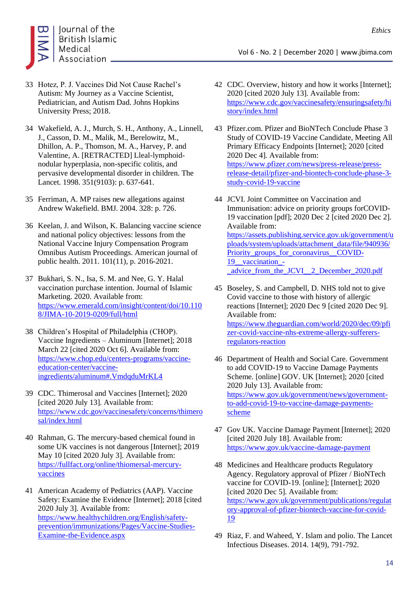

- 33 Hotez, P. J. Vaccines Did Not Cause Rachel's Autism: My Journey as a Vaccine Scientist, Pediatrician, and Autism Dad. Johns Hopkins University Press; 2018.
- 34 Wakefield, A. J., Murch, S. H., Anthony, A., Linnell, J., Casson, D. M., Malik, M., Berelowitz, M., Dhillon, A. P., Thomson, M. A., Harvey, P. and Valentine, A. [RETRACTED] Lleal-lymphoidnodular hyperplasia, non-specific colitis, and pervasive developmental disorder in children. The Lancet. 1998. 351(9103): p. 637-641.
- 35 Ferriman, A. MP raises new allegations against Andrew Wakefield. BMJ. 2004. 328: p. 726.
- 36 Keelan, J. and Wilson, K. Balancing vaccine science and national policy objectives: lessons from the National Vaccine Injury Compensation Program Omnibus Autism Proceedings. American journal of public health. 2011. 101(11), p. 2016-2021.
- 37 Bukhari, S. N., Isa, S. M. and Nee, G. Y. Halal vaccination purchase intention. Journal of Islamic Marketing. 2020. Available from: [https://www.emerald.com/insight/content/doi/10.110](https://www.emerald.com/insight/content/doi/10.1108/JIMA-10-2019-0209/full/html) [8/JIMA-10-2019-0209/full/html](https://www.emerald.com/insight/content/doi/10.1108/JIMA-10-2019-0209/full/html)
- 38 Children's Hospital of Philadelphia (CHOP). Vaccine Ingredients – Aluminum [Internet]; 2018 March 22 [cited 2020 Oct 6]. Available from: [https://www.chop.edu/centers-programs/vaccine](https://www.chop.edu/centers-programs/vaccine-education-center/vaccine-ingredients/aluminum#.VmdqduMrKL4)[education-center/vaccine](https://www.chop.edu/centers-programs/vaccine-education-center/vaccine-ingredients/aluminum#.VmdqduMrKL4)[ingredients/aluminum#.VmdqduMrKL4](https://www.chop.edu/centers-programs/vaccine-education-center/vaccine-ingredients/aluminum#.VmdqduMrKL4)
- 39 CDC. Thimerosal and Vaccines [Internet]; 2020 [cited 2020 July 13]. Available from: [https://www.cdc.gov/vaccinesafety/concerns/thimero](https://www.cdc.gov/vaccinesafety/concerns/thimerosal/index.html) [sal/index.html](https://www.cdc.gov/vaccinesafety/concerns/thimerosal/index.html)
- 40 Rahman, G. The mercury-based chemical found in some UK vaccines is not dangerous [Internet]; 2019 May 10 [cited 2020 July 3]. Available from: [https://fullfact.org/online/thiomersal-mercury](https://fullfact.org/online/thiomersal-mercury-vaccines/)[vaccines](https://fullfact.org/online/thiomersal-mercury-vaccines/)
- 41 American Academy of Pediatrics (AAP). Vaccine Safety: Examine the Evidence [Internet]; 2018 [cited 2020 July 3]. Available from: [https://www.healthychildren.org/English/safety](https://www.healthychildren.org/English/safety-prevention/immunizations/Pages/Vaccine-Studies-Examine-the-Evidence.aspx)[prevention/immunizations/Pages/Vaccine-Studies-](https://www.healthychildren.org/English/safety-prevention/immunizations/Pages/Vaccine-Studies-Examine-the-Evidence.aspx)[Examine-the-Evidence.aspx](https://www.healthychildren.org/English/safety-prevention/immunizations/Pages/Vaccine-Studies-Examine-the-Evidence.aspx)
- Vol 6 No. 2 | December 2020 | www.jbima.com
- 42 CDC. Overview, history and how it works [Internet]; 2020 [cited 2020 July 13]. Available from: [https://www.cdc.gov/vaccinesafety/ensuringsafety/hi](https://www.cdc.gov/vaccinesafety/ensuringsafety/history/index.html) [story/index.html](https://www.cdc.gov/vaccinesafety/ensuringsafety/history/index.html)
- 43 Pfizer.com. Pfizer and BioNTech Conclude Phase 3 Study of COVID-19 Vaccine Candidate, Meeting All Primary Efficacy Endpoints [Internet]; 2020 [cited 2020 Dec 4]. Available from: [https://www.pfizer.com/news/press-release/press](https://www.pfizer.com/news/press-release/press-release-detail/pfizer-and-biontech-conclude-phase-3-study-covid-19-vaccine)[release-detail/pfizer-and-biontech-conclude-phase-3](https://www.pfizer.com/news/press-release/press-release-detail/pfizer-and-biontech-conclude-phase-3-study-covid-19-vaccine) [study-covid-19-vaccine](https://www.pfizer.com/news/press-release/press-release-detail/pfizer-and-biontech-conclude-phase-3-study-covid-19-vaccine)
- 44 JCVI. Joint Committee on Vaccination and Immunisation: advice on priority groups forCOVID-19 vaccination [pdf]; 2020 Dec 2 [cited 2020 Dec 2]. Available from: [https://assets.publishing.service.gov.uk/government/u](https://assets.publishing.service.gov.uk/government/uploads/system/uploads/attachment_data/file/940936/Priority_groups_for_coronavirus__COVID-19__vaccination_-_advice_from_the_JCVI__2_December_2020.pdf) [ploads/system/uploads/attachment\\_data/file/940936/](https://assets.publishing.service.gov.uk/government/uploads/system/uploads/attachment_data/file/940936/Priority_groups_for_coronavirus__COVID-19__vaccination_-_advice_from_the_JCVI__2_December_2020.pdf) Priority\_groups\_for\_coronavirus\_COVID-19 vaccination -[\\_advice\\_from\\_the\\_JCVI\\_\\_2\\_December\\_2020.pdf](https://assets.publishing.service.gov.uk/government/uploads/system/uploads/attachment_data/file/940936/Priority_groups_for_coronavirus__COVID-19__vaccination_-_advice_from_the_JCVI__2_December_2020.pdf)
- 45 Boseley, S. and Campbell, D. NHS told not to give Covid vaccine to those with history of allergic reactions [Internet]; 2020 Dec 9 [cited 2020 Dec 9]. Available from: [https://www.theguardian.com/world/2020/dec/09/pfi](https://www.theguardian.com/world/2020/dec/09/pfizer-covid-vaccine-nhs-extreme-allergy-sufferers-regulators-reaction) [zer-covid-vaccine-nhs-extreme-allergy-sufferers](https://www.theguardian.com/world/2020/dec/09/pfizer-covid-vaccine-nhs-extreme-allergy-sufferers-regulators-reaction)[regulators-reaction](https://www.theguardian.com/world/2020/dec/09/pfizer-covid-vaccine-nhs-extreme-allergy-sufferers-regulators-reaction)
- 46 Department of Health and Social Care. Government to add COVID-19 to Vaccine Damage Payments Scheme. [online] GOV. UK [Internet]; 2020 [cited 2020 July 13]. Available from: [https://www.gov.uk/government/news/government](https://www.gov.uk/government/news/government-to-add-covid-19-to-vaccine-damage-payments-scheme)[to-add-covid-19-to-vaccine-damage-payments](https://www.gov.uk/government/news/government-to-add-covid-19-to-vaccine-damage-payments-scheme)[scheme](https://www.gov.uk/government/news/government-to-add-covid-19-to-vaccine-damage-payments-scheme)
- 47 Gov UK. Vaccine Damage Payment [Internet]; 2020 [cited 2020 July 18]. Available from: <https://www.gov.uk/vaccine-damage-payment>
- 48 Medicines and Healthcare products Regulatory Agency. Regulatory approval of Pfizer / BioNTech vaccine for COVID-19. [online]; [Internet]; 2020 [cited 2020 Dec 5]. Available from: [https://www.gov.uk/government/publications/regulat](https://www.gov.uk/government/publications/regulatory-approval-of-pfizer-biontech-vaccine-for-covid-19) [ory-approval-of-pfizer-biontech-vaccine-for-covid-](https://www.gov.uk/government/publications/regulatory-approval-of-pfizer-biontech-vaccine-for-covid-19)<u>[19](https://www.gov.uk/government/publications/regulatory-approval-of-pfizer-biontech-vaccine-for-covid-19)</u>
- 49 Riaz, F. and Waheed, Y. Islam and polio. The Lancet Infectious Diseases. 2014. 14(9), 791-792.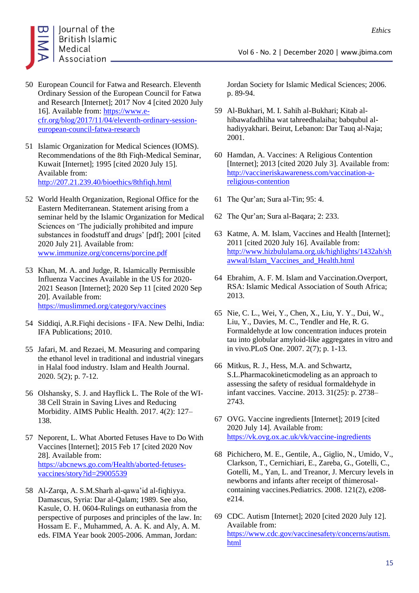

- 50 European Council for Fatwa and Research. Eleventh Ordinary Session of the European Council for Fatwa and Research [Internet]; 2017 Nov 4 [cited 2020 July 16]. Available from: [https://www.e](https://www.e-cfr.org/blog/2017/11/04/eleventh-ordinary-session-european-council-fatwa-research/)[cfr.org/blog/2017/11/04/eleventh-ordinary-session](https://www.e-cfr.org/blog/2017/11/04/eleventh-ordinary-session-european-council-fatwa-research/)[european-council-fatwa-research](https://www.e-cfr.org/blog/2017/11/04/eleventh-ordinary-session-european-council-fatwa-research/)
- 51 Islamic Organization for Medical Sciences (IOMS). Recommendations of the 8th Fiqh-Medical Seminar, Kuwait [Internet]; 1995 [cited 2020 July 15]. Available from: <http://207.21.239.40/bioethics/8thfiqh.html>
- 52 World Health Organization, Regional Office for the Eastern Mediterranean. Statement arising from a seminar held by the Islamic Organization for Medical Sciences on 'The judicially prohibited and impure substances in foodstuff and drugs' [pdf]; 2001 [cited 2020 July 21]. Available from: [www.immunize.org/concerns/porcine.pdf](http://www.immunize.org/concerns/porcine.pdf)
- 53 Khan, M. A. and Judge, R. Islamically Permissible Influenza Vaccines Available in the US for 2020- 2021 Season [Internet]; 2020 Sep 11 [cited 2020 Sep 20]. Available from: [https://muslimmed.org/category/vaccines](https://muslimmed.org/category/vaccines/)
- 54 Siddiqi, A.R.Fiqhi decisions IFA. New Delhi, India: IFA Publications; 2010.
- 55 Jafari, M. and Rezaei, M. Measuring and comparing the ethanol level in traditional and industrial vinegars in Halal food industry. Islam and Health Journal. 2020. 5(2); p. 7-12.
- 56 Olshansky, S. J. and Hayflick L. The Role of the WI-38 Cell Strain in Saving Lives and Reducing Morbidity. AIMS Public Health. 2017. 4(2): 127– 138.
- 57 Neporent, L. What Aborted Fetuses Have to Do With Vaccines [Internet]; 2015 Feb 17 [cited 2020 Nov 28]. Available from: [https://abcnews.go.com/Health/aborted-fetuses](https://abcnews.go.com/Health/aborted-fetuses-vaccines/story?id=29005539)[vaccines/story?id=29005539](https://abcnews.go.com/Health/aborted-fetuses-vaccines/story?id=29005539)
- 58 Al-Zarqa, A. S.M.Sharh al-qawa'id al-fiqhiyya. Damascus, Syria: Dar al-Qalam; 1989. See also, Kasule, O. H. 0604-Rulings on euthanasia from the perspective of purposes and principles of the law. In: Hossam E. F., Muhammed, A. A. K. and Aly, A. M. eds. FIMA Year book 2005-2006. Amman, Jordan:

Jordan Society for Islamic Medical Sciences; 2006. p. 89-94.

- 59 Al-Bukhari, M. I. Sahih al-Bukhari; Kitab alhibawafadhliha wat tahreedhalaiha; babqubul alhadiyyakhari. Beirut, Lebanon: Dar Tauq al-Naja; 2001.
- 60 Hamdan, A. Vaccines: A Religious Contention [Internet]; 2013 [cited 2020 July 3]. Available from: [http://vaccineriskawareness.com/vaccination-a](http://vaccineriskawareness.com/vaccination-a-religious-contention/)[religious-contention](http://vaccineriskawareness.com/vaccination-a-religious-contention/)
- 61 The Qur'an; Sura al-Tin; 95: 4.
- 62 The Qur'an; Sura al-Baqara; 2: 233.
- 63 Katme, A. M. Islam, Vaccines and Health [Internet]; 2011 [cited 2020 July 16]. Available from: [http://www.hizbululama.org.uk/highlights/1432ah/sh](http://www.hizbululama.org.uk/highlights/1432ah/shawwal/Islam_Vaccines_and_Health.html) [awwal/Islam\\_Vaccines\\_and\\_Health.html](http://www.hizbululama.org.uk/highlights/1432ah/shawwal/Islam_Vaccines_and_Health.html)
- 64 Ebrahim, A. F. M. Islam and Vaccination.Overport, RSA: Islamic Medical Association of South Africa; 2013.
- 65 Nie, C. L., Wei, Y., Chen, X., Liu, Y. Y., Dui, W., Liu, Y., Davies, M. C., Tendler and He, R. G. Formaldehyde at low concentration induces protein tau into globular amyloid-like aggregates in vitro and in vivo.PLoS One. 2007. 2(7); p. 1-13.
- 66 Mitkus, R. J., Hess, M.A. and Schwartz, S.L.Pharmacokineticmodeling as an approach to assessing the safety of residual formaldehyde in infant vaccines. Vaccine. 2013. 31(25): p. 2738– 2743.
- 67 OVG. Vaccine ingredients [Internet]; 2019 [cited 2020 July 14]. Available from: <https://vk.ovg.ox.ac.uk/vk/vaccine-ingredients>
- 68 Pichichero, M. E., Gentile, A., Giglio, N., Umido, V., Clarkson, T., Cernichiari, E., Zareba, G., Gotelli, C., Gotelli, M., Yan, L. and Treanor, J. Mercury levels in newborns and infants after receipt of thimerosalcontaining vaccines.Pediatrics. 2008. 121(2), e208 e214.
- 69 CDC. Autism [Internet]; 2020 [cited 2020 July 12]. Available from: [https://www.cdc.gov/vaccinesafety/concerns/autism.](https://www.cdc.gov/vaccinesafety/concerns/autism.html) [html](https://www.cdc.gov/vaccinesafety/concerns/autism.html)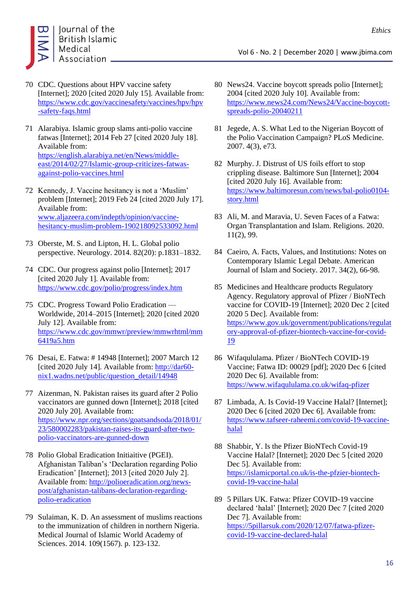

- 70 CDC. Questions about HPV vaccine safety [Internet]; 2020 [cited 2020 July 15]. Available from: [https://www.cdc.gov/vaccinesafety/vaccines/hpv/hpv](https://www.cdc.gov/vaccinesafety/vaccines/hpv/hpv-safety-faqs.html) [-safety-faqs.html](https://www.cdc.gov/vaccinesafety/vaccines/hpv/hpv-safety-faqs.html)
- 71 Alarabiya. Islamic group slams anti-polio vaccine fatwas [Internet]; 2014 Feb 27 [cited 2020 July 18]. Available from: [https://english.alarabiya.net/en/News/middle](https://english.alarabiya.net/en/News/middle-east/2014/02/27/Islamic-group-criticizes-fatwas-against-polio-vaccines.html)[east/2014/02/27/Islamic-group-criticizes-fatwas](https://english.alarabiya.net/en/News/middle-east/2014/02/27/Islamic-group-criticizes-fatwas-against-polio-vaccines.html)[against-polio-vaccines.html](https://english.alarabiya.net/en/News/middle-east/2014/02/27/Islamic-group-criticizes-fatwas-against-polio-vaccines.html)
- 72 Kennedy, J. Vaccine hesitancy is not a 'Muslim' problem [Internet]; 2019 Feb 24 [cited 2020 July 17]. Available from: [www.aljazeera.com/indepth/opinion/vaccine](http://www.aljazeera.com/indepth/opinion/vaccine-hesitancy-muslim-problem-190218092533092.html)[hesitancy-muslim-problem-190218092533092.html](http://www.aljazeera.com/indepth/opinion/vaccine-hesitancy-muslim-problem-190218092533092.html)
- 73 Oberste, M. S. and Lipton, H. L. Global polio perspective. Neurology. 2014. 82(20): p.1831–1832.
- 74 CDC. Our progress against polio [Internet]; 2017 [cited 2020 July 1]. Available from: <https://www.cdc.gov/polio/progress/index.htm>
- 75 CDC. Progress Toward Polio Eradication Worldwide, 2014–2015 [Internet]; 2020 [cited 2020 July 12]. Available from: [https://www.cdc.gov/mmwr/preview/mmwrhtml/mm](https://www.cdc.gov/mmwr/preview/mmwrhtml/mm6419a5.htm) [6419a5.htm](https://www.cdc.gov/mmwr/preview/mmwrhtml/mm6419a5.htm)
- 76 Desai, E. Fatwa: # 14948 [Internet]; 2007 March 12 [cited 2020 July 14]. Available from: [http://dar60](http://dar60-nix1.wadns.net/public/question_detail/14948) [nix1.wadns.net/public/question\\_detail/14948](http://dar60-nix1.wadns.net/public/question_detail/14948)
- 77 Aizenman, N. Pakistan raises its guard after 2 Polio vaccinators are gunned down [Internet]; 2018 [cited 2020 July 20]. Available from: [https://www.npr.org/sections/goatsandsoda/2018/01/](https://www.npr.org/sections/goatsandsoda/2018/01/23/580002283/pakistan-raises-its-guard-after-two-polio-vaccinators-are-gunned-down) [23/580002283/pakistan-raises-its-guard-after-two](https://www.npr.org/sections/goatsandsoda/2018/01/23/580002283/pakistan-raises-its-guard-after-two-polio-vaccinators-are-gunned-down)[polio-vaccinators-are-gunned-down](https://www.npr.org/sections/goatsandsoda/2018/01/23/580002283/pakistan-raises-its-guard-after-two-polio-vaccinators-are-gunned-down)
- 78 Polio Global Eradication Initiaitive (PGEI). Afghanistan Taliban's 'Declaration regarding Polio Eradication' [Internet]; 2013 [cited 2020 July 2]. Available from[: http://polioeradication.org/news](http://polioeradication.org/news-post/afghanistan-talibans-declaration-regarding-polio-eradication/)[post/afghanistan-talibans-declaration-regarding](http://polioeradication.org/news-post/afghanistan-talibans-declaration-regarding-polio-eradication/)[polio-eradication](http://polioeradication.org/news-post/afghanistan-talibans-declaration-regarding-polio-eradication/)
- 79 Sulaiman, K. D. An assessment of muslims reactions to the immunization of children in northern Nigeria. Medical Journal of Islamic World Academy of Sciences. 2014. 109(1567). p. 123-132.

80 News24. Vaccine boycott spreads polio [Internet]; 2004 [cited 2020 July 10]. Available from: [https://www.news24.com/News24/Vaccine-boycott](https://www.news24.com/News24/Vaccine-boycott-spreads-polio-20040211)[spreads-polio-20040211](https://www.news24.com/News24/Vaccine-boycott-spreads-polio-20040211)

Vol 6 - No. 2 | December 2020 | www.jbima.com

- 81 Jegede, A. S. What Led to the Nigerian Boycott of the Polio Vaccination Campaign? PLoS Medicine. 2007. 4(3), e73.
- 82 Murphy. J. Distrust of US foils effort to stop crippling disease. Baltimore Sun [Internet]; 2004 [cited 2020 July 16]. Available from: [https://www.baltimoresun.com/news/bal-polio0104](https://www.baltimoresun.com/news/bal-polio0104-story.html) [story.html](https://www.baltimoresun.com/news/bal-polio0104-story.html)
- 83 Ali, M. and Maravia, U. Seven Faces of a Fatwa: Organ Transplantation and Islam. Religions. 2020. 11(2), 99.
- 84 Caeiro, A. Facts, Values, and Institutions: Notes on Contemporary Islamic Legal Debate. American Journal of Islam and Society. 2017. 34(2), 66-98.
- 85 Medicines and Healthcare products Regulatory Agency. Regulatory approval of Pfizer / BioNTech vaccine for COVID-19 [Internet]; 2020 Dec 2 [cited 2020 5 Dec]. Available from: [https://www.gov.uk/government/publications/regulat](https://www.gov.uk/government/publications/regulatory-approval-of-pfizer-biontech-vaccine-for-covid-19) [ory-approval-of-pfizer-biontech-vaccine-for-covid-](https://www.gov.uk/government/publications/regulatory-approval-of-pfizer-biontech-vaccine-for-covid-19)[19](https://www.gov.uk/government/publications/regulatory-approval-of-pfizer-biontech-vaccine-for-covid-19)
- 86 Wifaqululama. Pfizer / BioNTech COVID-19 Vaccine; Fatwa ID: 00029 [pdf]; 2020 Dec 6 [cited 2020 Dec 6]. Available from: <https://www.wifaqululama.co.uk/wifaq-pfizer>
- 87 Limbada, A. Is Covid-19 Vaccine Halal? [Internet]; 2020 Dec 6 [cited 2020 Dec 6]. Available from: [https://www.tafseer-raheemi.com/covid-19-vaccine](https://www.tafseer-raheemi.com/covid-19-vaccine-halal)[halal](https://www.tafseer-raheemi.com/covid-19-vaccine-halal)
- 88 Shabbir, Y. Is the Pfizer BioNTech Covid-19 Vaccine Halal? [Internet]; 2020 Dec 5 [cited 2020 Dec 5]. Available from: [https://islamicportal.co.uk/is-the-pfzier-biontech](https://islamicportal.co.uk/is-the-pfzier-biontech-covid-19-vaccine-halal/)[covid-19-vaccine-halal](https://islamicportal.co.uk/is-the-pfzier-biontech-covid-19-vaccine-halal/)
- 89 5 Pillars UK. Fatwa: Pfizer COVID-19 vaccine declared 'halal' [Internet]; 2020 Dec 7 [cited 2020 Dec 7]. Available from: [https://5pillarsuk.com/2020/12/07/fatwa-pfizer](https://5pillarsuk.com/2020/12/07/fatwa-pfizer-covid-19-vaccine-declared-halal)[covid-19-vaccine-declared-halal](https://5pillarsuk.com/2020/12/07/fatwa-pfizer-covid-19-vaccine-declared-halal)